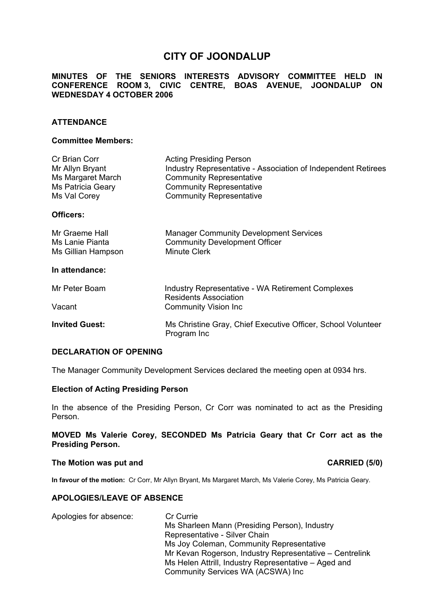# **CITY OF JOONDALUP**

## **MINUTES OF THE SENIORS INTERESTS ADVISORY COMMITTEE HELD IN CONFERENCE ROOM 3, CIVIC CENTRE, BOAS AVENUE, JOONDALUP ON WEDNESDAY 4 OCTOBER 2006**

## **ATTENDANCE**

## **Committee Members:**

| Cr Brian Corr<br>Mr Allyn Bryant<br>Ms Margaret March<br>Ms Patricia Geary<br>Ms Val Corey | <b>Acting Presiding Person</b><br>Industry Representative - Association of Independent Retirees<br><b>Community Representative</b><br><b>Community Representative</b><br><b>Community Representative</b> |
|--------------------------------------------------------------------------------------------|----------------------------------------------------------------------------------------------------------------------------------------------------------------------------------------------------------|
| Officers:                                                                                  |                                                                                                                                                                                                          |
| Mr Graeme Hall<br>Ms Lanie Pianta<br>Ms Gillian Hampson                                    | <b>Manager Community Development Services</b><br><b>Community Development Officer</b><br><b>Minute Clerk</b>                                                                                             |
| In attendance:                                                                             |                                                                                                                                                                                                          |
| Mr Peter Boam                                                                              | <b>Industry Representative - WA Retirement Complexes</b><br><b>Residents Association</b><br><b>Community Vision Inc.</b>                                                                                 |
| Vacant                                                                                     |                                                                                                                                                                                                          |
| <b>Invited Guest:</b>                                                                      | Ms Christine Gray, Chief Executive Officer, School Volunteer<br>Program Inc                                                                                                                              |

#### **DECLARATION OF OPENING**

The Manager Community Development Services declared the meeting open at 0934 hrs.

#### **Election of Acting Presiding Person**

In the absence of the Presiding Person, Cr Corr was nominated to act as the Presiding Person.

**MOVED Ms Valerie Corey, SECONDED Ms Patricia Geary that Cr Corr act as the Presiding Person.** 

#### The Motion was put and **CARRIED** (5/0)

**In favour of the motion:** Cr Corr, Mr Allyn Bryant, Ms Margaret March, Ms Valerie Corey, Ms Patricia Geary.

#### **APOLOGIES/LEAVE OF ABSENCE**

Apologies for absence: Cr Currie Ms Sharleen Mann (Presiding Person), Industry Representative - Silver Chain Ms Joy Coleman, Community Representative Mr Kevan Rogerson, Industry Representative – Centrelink Ms Helen Attrill, Industry Representative – Aged and Community Services WA (ACSWA) Inc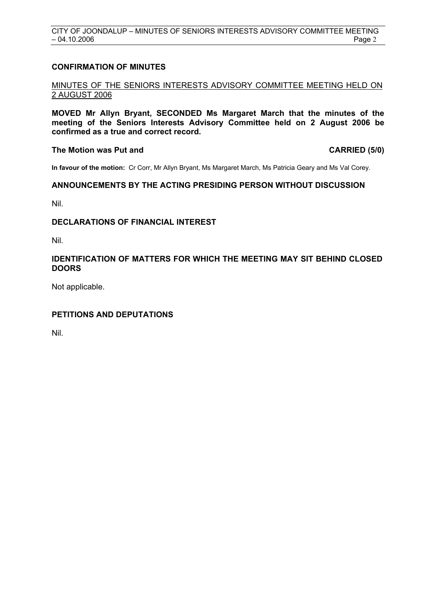## **CONFIRMATION OF MINUTES**

## MINUTES OF THE SENIORS INTERESTS ADVISORY COMMITTEE MEETING HELD ON 2 AUGUST 2006

**MOVED Mr Allyn Bryant, SECONDED Ms Margaret March that the minutes of the meeting of the Seniors Interests Advisory Committee held on 2 August 2006 be confirmed as a true and correct record.** 

## The Motion was Put and **CARRIED** (5/0)

**In favour of the motion:** Cr Corr, Mr Allyn Bryant, Ms Margaret March, Ms Patricia Geary and Ms Val Corey.

## **ANNOUNCEMENTS BY THE ACTING PRESIDING PERSON WITHOUT DISCUSSION**

Nil.

## **DECLARATIONS OF FINANCIAL INTEREST**

Nil.

## **IDENTIFICATION OF MATTERS FOR WHICH THE MEETING MAY SIT BEHIND CLOSED DOORS**

Not applicable.

## **PETITIONS AND DEPUTATIONS**

Nil.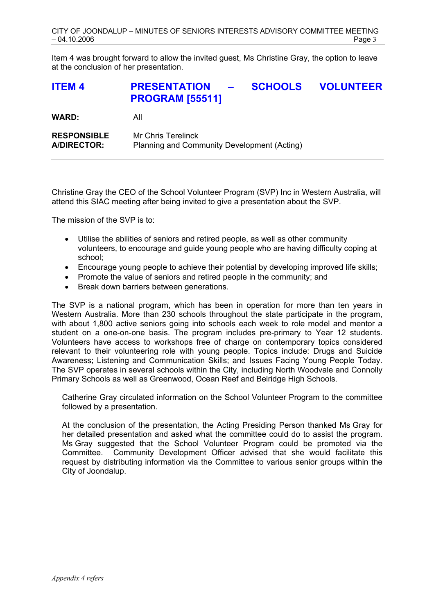Item 4 was brought forward to allow the invited guest, Ms Christine Gray, the option to leave at the conclusion of her presentation.

# **ITEM 4 PRESENTATION – SCHOOLS VOLUNTEER PROGRAM [55511]**

**WARD:** All

**RESPONSIBLE** Mr Chris Terelinck **A/DIRECTOR:** Planning and Community Development (Acting)

Christine Gray the CEO of the School Volunteer Program (SVP) Inc in Western Australia, will attend this SIAC meeting after being invited to give a presentation about the SVP.

The mission of the SVP is to:

- Utilise the abilities of seniors and retired people, as well as other community volunteers, to encourage and guide young people who are having difficulty coping at school;
- Encourage young people to achieve their potential by developing improved life skills;
- Promote the value of seniors and retired people in the community; and
- Break down barriers between generations.

The SVP is a national program, which has been in operation for more than ten years in Western Australia. More than 230 schools throughout the state participate in the program, with about 1,800 active seniors going into schools each week to role model and mentor a student on a one-on-one basis. The program includes pre-primary to Year 12 students. Volunteers have access to workshops free of charge on contemporary topics considered relevant to their volunteering role with young people. Topics include: Drugs and Suicide Awareness; Listening and Communication Skills; and Issues Facing Young People Today. The SVP operates in several schools within the City, including North Woodvale and Connolly Primary Schools as well as Greenwood, Ocean Reef and Belridge High Schools.

Catherine Gray circulated information on the School Volunteer Program to the committee followed by a presentation.

At the conclusion of the presentation, the Acting Presiding Person thanked Ms Gray for her detailed presentation and asked what the committee could do to assist the program. Ms Gray suggested that the School Volunteer Program could be promoted via the Committee. Community Development Officer advised that she would facilitate this request by distributing information via the Committee to various senior groups within the City of Joondalup.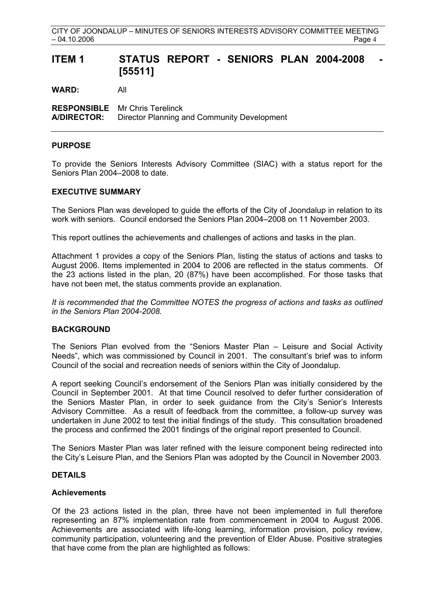# ITEM 1 STATUS REPORT - SENIORS PLAN 2004-2008 **[55511]**

**WARD:** All

**RESPONSIBLE** Mr Chris Terelinck **A/DIRECTOR:** Director Planning and Community Development

## **PURPOSE**

To provide the Seniors Interests Advisory Committee (SIAC) with a status report for the Seniors Plan 2004–2008 to date.

## **EXECUTIVE SUMMARY**

The Seniors Plan was developed to guide the efforts of the City of Joondalup in relation to its work with seniors. Council endorsed the Seniors Plan 2004–2008 on 11 November 2003.

This report outlines the achievements and challenges of actions and tasks in the plan.

Attachment 1 provides a copy of the Seniors Plan, listing the status of actions and tasks to August 2006. Items implemented in 2004 to 2006 are reflected in the status comments. Of the 23 actions listed in the plan, 20 (87%) have been accomplished. For those tasks that have not been met, the status comments provide an explanation.

*It is recommended that the Committee NOTES the progress of actions and tasks as outlined in the Seniors Plan 2004-2008.* 

## **BACKGROUND**

The Seniors Plan evolved from the "Seniors Master Plan – Leisure and Social Activity Needs", which was commissioned by Council in 2001. The consultant's brief was to inform Council of the social and recreation needs of seniors within the City of Joondalup.

A report seeking Council's endorsement of the Seniors Plan was initially considered by the Council in September 2001. At that time Council resolved to defer further consideration of the Seniors Master Plan, in order to seek guidance from the City's Senior's Interests Advisory Committee. As a result of feedback from the committee, a follow-up survey was undertaken in June 2002 to test the initial findings of the study. This consultation broadened the process and confirmed the 2001 findings of the original report presented to Council.

The Seniors Master Plan was later refined with the leisure component being redirected into the City's Leisure Plan, and the Seniors Plan was adopted by the Council in November 2003.

## **DETAILS**

## **Achievements**

Of the 23 actions listed in the plan, three have not been implemented in full therefore representing an 87% implementation rate from commencement in 2004 to August 2006. Achievements are associated with life-long learning, information provision, policy review, community participation, volunteering and the prevention of Elder Abuse. Positive strategies that have come from the plan are highlighted as follows: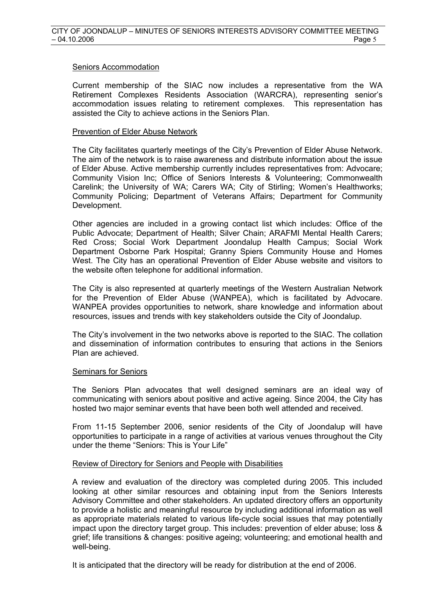### Seniors Accommodation

Current membership of the SIAC now includes a representative from the WA Retirement Complexes Residents Association (WARCRA), representing senior's accommodation issues relating to retirement complexes. This representation has assisted the City to achieve actions in the Seniors Plan.

#### Prevention of Elder Abuse Network

The City facilitates quarterly meetings of the City's Prevention of Elder Abuse Network. The aim of the network is to raise awareness and distribute information about the issue of Elder Abuse. Active membership currently includes representatives from: Advocare; Community Vision Inc; Office of Seniors Interests & Volunteering; Commonwealth Carelink; the University of WA; Carers WA; City of Stirling; Women's Healthworks; Community Policing; Department of Veterans Affairs; Department for Community Development.

Other agencies are included in a growing contact list which includes: Office of the Public Advocate; Department of Health; Silver Chain; ARAFMI Mental Health Carers; Red Cross; Social Work Department Joondalup Health Campus; Social Work Department Osborne Park Hospital; Granny Spiers Community House and Homes West. The City has an operational Prevention of Elder Abuse website and visitors to the website often telephone for additional information.

The City is also represented at quarterly meetings of the Western Australian Network for the Prevention of Elder Abuse (WANPEA), which is facilitated by Advocare. WANPEA provides opportunities to network, share knowledge and information about resources, issues and trends with key stakeholders outside the City of Joondalup.

The City's involvement in the two networks above is reported to the SIAC. The collation and dissemination of information contributes to ensuring that actions in the Seniors Plan are achieved.

## Seminars for Seniors

The Seniors Plan advocates that well designed seminars are an ideal way of communicating with seniors about positive and active ageing. Since 2004, the City has hosted two major seminar events that have been both well attended and received.

From 11-15 September 2006, senior residents of the City of Joondalup will have opportunities to participate in a range of activities at various venues throughout the City under the theme "Seniors: This is Your Life"

## Review of Directory for Seniors and People with Disabilities

A review and evaluation of the directory was completed during 2005. This included looking at other similar resources and obtaining input from the Seniors Interests Advisory Committee and other stakeholders. An updated directory offers an opportunity to provide a holistic and meaningful resource by including additional information as well as appropriate materials related to various life-cycle social issues that may potentially impact upon the directory target group. This includes: prevention of elder abuse; loss & grief; life transitions & changes: positive ageing; volunteering; and emotional health and well-being.

It is anticipated that the directory will be ready for distribution at the end of 2006.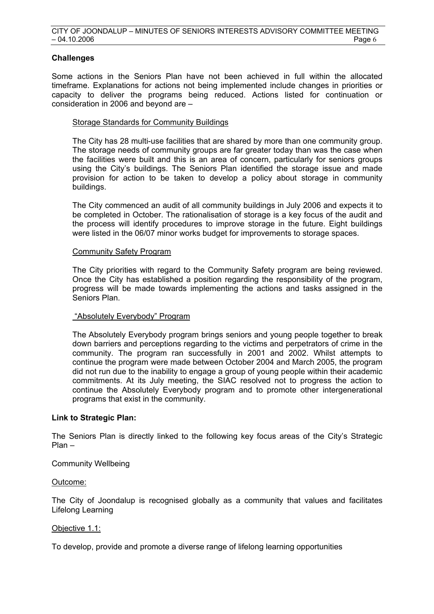## **Challenges**

Some actions in the Seniors Plan have not been achieved in full within the allocated timeframe. Explanations for actions not being implemented include changes in priorities or capacity to deliver the programs being reduced. Actions listed for continuation or consideration in 2006 and beyond are –

## Storage Standards for Community Buildings

The City has 28 multi-use facilities that are shared by more than one community group. The storage needs of community groups are far greater today than was the case when the facilities were built and this is an area of concern, particularly for seniors groups using the City's buildings. The Seniors Plan identified the storage issue and made provision for action to be taken to develop a policy about storage in community buildings.

The City commenced an audit of all community buildings in July 2006 and expects it to be completed in October. The rationalisation of storage is a key focus of the audit and the process will identify procedures to improve storage in the future. Eight buildings were listed in the 06/07 minor works budget for improvements to storage spaces.

## Community Safety Program

The City priorities with regard to the Community Safety program are being reviewed. Once the City has established a position regarding the responsibility of the program, progress will be made towards implementing the actions and tasks assigned in the Seniors Plan.

## "Absolutely Everybody" Program

The Absolutely Everybody program brings seniors and young people together to break down barriers and perceptions regarding to the victims and perpetrators of crime in the community. The program ran successfully in 2001 and 2002. Whilst attempts to continue the program were made between October 2004 and March 2005, the program did not run due to the inability to engage a group of young people within their academic commitments. At its July meeting, the SIAC resolved not to progress the action to continue the Absolutely Everybody program and to promote other intergenerational programs that exist in the community.

## **Link to Strategic Plan:**

The Seniors Plan is directly linked to the following key focus areas of the City's Strategic Plan –

## Community Wellbeing

## Outcome:

The City of Joondalup is recognised globally as a community that values and facilitates Lifelong Learning

## Objective 1.1:

To develop, provide and promote a diverse range of lifelong learning opportunities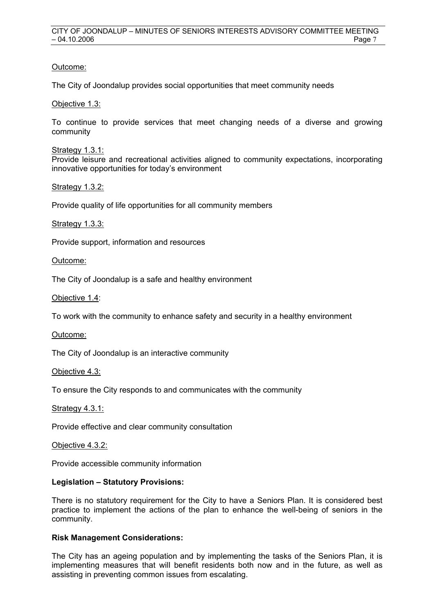## Outcome:

The City of Joondalup provides social opportunities that meet community needs

Objective 1.3:

To continue to provide services that meet changing needs of a diverse and growing community

Strategy 1.3.1:

Provide leisure and recreational activities aligned to community expectations, incorporating innovative opportunities for today's environment

Strategy 1.3.2:

Provide quality of life opportunities for all community members

Strategy 1.3.3:

Provide support, information and resources

Outcome:

The City of Joondalup is a safe and healthy environment

Objective 1.4:

To work with the community to enhance safety and security in a healthy environment

Outcome:

The City of Joondalup is an interactive community

Objective 4.3:

To ensure the City responds to and communicates with the community

Strategy 4.3.1:

Provide effective and clear community consultation

Objective 4.3.2:

Provide accessible community information

## **Legislation – Statutory Provisions:**

There is no statutory requirement for the City to have a Seniors Plan. It is considered best practice to implement the actions of the plan to enhance the well-being of seniors in the community.

## **Risk Management Considerations:**

The City has an ageing population and by implementing the tasks of the Seniors Plan, it is implementing measures that will benefit residents both now and in the future, as well as assisting in preventing common issues from escalating.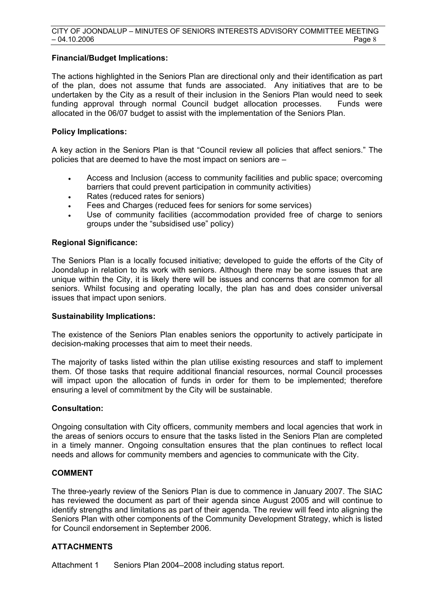## **Financial/Budget Implications:**

The actions highlighted in the Seniors Plan are directional only and their identification as part of the plan, does not assume that funds are associated. Any initiatives that are to be undertaken by the City as a result of their inclusion in the Seniors Plan would need to seek funding approval through normal Council budget allocation processes. Funds were allocated in the 06/07 budget to assist with the implementation of the Seniors Plan.

## **Policy Implications:**

A key action in the Seniors Plan is that "Council review all policies that affect seniors." The policies that are deemed to have the most impact on seniors are –

- Access and Inclusion (access to community facilities and public space; overcoming barriers that could prevent participation in community activities)
- Rates (reduced rates for seniors)
- Fees and Charges (reduced fees for seniors for some services)
- Use of community facilities (accommodation provided free of charge to seniors groups under the "subsidised use" policy)

## **Regional Significance:**

The Seniors Plan is a locally focused initiative; developed to guide the efforts of the City of Joondalup in relation to its work with seniors. Although there may be some issues that are unique within the City, it is likely there will be issues and concerns that are common for all seniors. Whilst focusing and operating locally, the plan has and does consider universal issues that impact upon seniors.

## **Sustainability Implications:**

The existence of the Seniors Plan enables seniors the opportunity to actively participate in decision-making processes that aim to meet their needs.

The majority of tasks listed within the plan utilise existing resources and staff to implement them. Of those tasks that require additional financial resources, normal Council processes will impact upon the allocation of funds in order for them to be implemented; therefore ensuring a level of commitment by the City will be sustainable.

## **Consultation:**

Ongoing consultation with City officers, community members and local agencies that work in the areas of seniors occurs to ensure that the tasks listed in the Seniors Plan are completed in a timely manner. Ongoing consultation ensures that the plan continues to reflect local needs and allows for community members and agencies to communicate with the City.

## **COMMENT**

The three-yearly review of the Seniors Plan is due to commence in January 2007. The SIAC has reviewed the document as part of their agenda since August 2005 and will continue to identify strengths and limitations as part of their agenda. The review will feed into aligning the Seniors Plan with other components of the Community Development Strategy, which is listed for Council endorsement in September 2006.

## **ATTACHMENTS**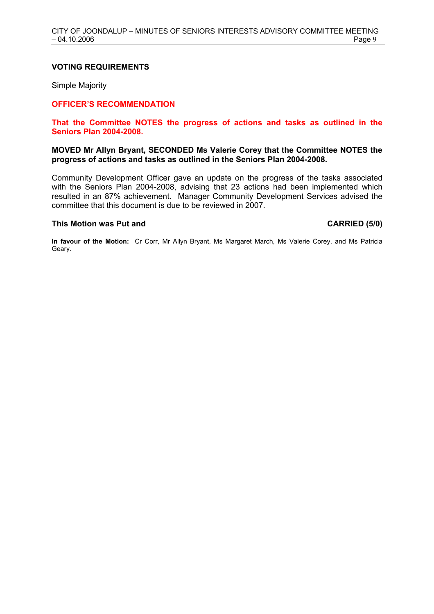### **VOTING REQUIREMENTS**

Simple Majority

## **OFFICER'S RECOMMENDATION**

### **That the Committee NOTES the progress of actions and tasks as outlined in the Seniors Plan 2004-2008.**

## **MOVED Mr Allyn Bryant, SECONDED Ms Valerie Corey that the Committee NOTES the progress of actions and tasks as outlined in the Seniors Plan 2004-2008.**

Community Development Officer gave an update on the progress of the tasks associated with the Seniors Plan 2004-2008, advising that 23 actions had been implemented which resulted in an 87% achievement. Manager Community Development Services advised the committee that this document is due to be reviewed in 2007.

### This Motion was Put and **CARRIED** (5/0)

**In favour of the Motion:** Cr Corr, Mr Allyn Bryant, Ms Margaret March, Ms Valerie Corey, and Ms Patricia Geary.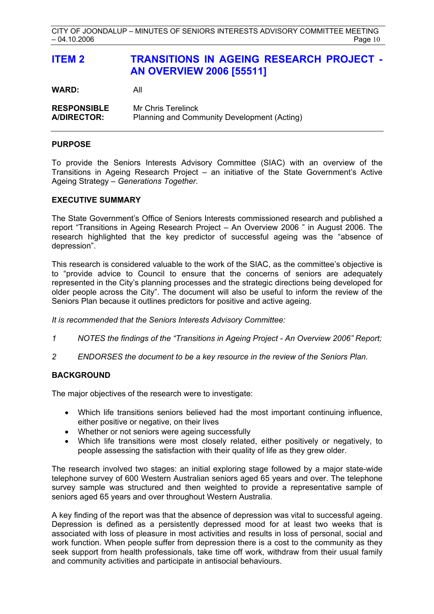# **ITEM 2 TRANSITIONS IN AGEING RESEARCH PROJECT - AN OVERVIEW 2006 [55511]**

**WARD:** All

**RESPONSIBLE** Mr Chris Terelinck **A/DIRECTOR:** Planning and Community Development (Acting)

## **PURPOSE**

To provide the Seniors Interests Advisory Committee (SIAC) with an overview of the Transitions in Ageing Research Project – an initiative of the State Government's Active Ageing Strategy – *Generations Together*.

## **EXECUTIVE SUMMARY**

The State Government's Office of Seniors Interests commissioned research and published a report "Transitions in Ageing Research Project – An Overview 2006 " in August 2006. The research highlighted that the key predictor of successful ageing was the "absence of depression".

This research is considered valuable to the work of the SIAC, as the committee's objective is to "provide advice to Council to ensure that the concerns of seniors are adequately represented in the City's planning processes and the strategic directions being developed for older people across the City". The document will also be useful to inform the review of the Seniors Plan because it outlines predictors for positive and active ageing.

*It is recommended that the Seniors Interests Advisory Committee:* 

- *1 NOTES the findings of the "Transitions in Ageing Project An Overview 2006" Report;*
- *2 ENDORSES the document to be a key resource in the review of the Seniors Plan.*

## **BACKGROUND**

The major objectives of the research were to investigate:

- Which life transitions seniors believed had the most important continuing influence, either positive or negative, on their lives
- Whether or not seniors were ageing successfully
- Which life transitions were most closely related, either positively or negatively, to people assessing the satisfaction with their quality of life as they grew older.

The research involved two stages: an initial exploring stage followed by a major state-wide telephone survey of 600 Western Australian seniors aged 65 years and over. The telephone survey sample was structured and then weighted to provide a representative sample of seniors aged 65 years and over throughout Western Australia.

A key finding of the report was that the absence of depression was vital to successful ageing. Depression is defined as a persistently depressed mood for at least two weeks that is associated with loss of pleasure in most activities and results in loss of personal, social and work function. When people suffer from depression there is a cost to the community as they seek support from health professionals, take time off work, withdraw from their usual family and community activities and participate in antisocial behaviours.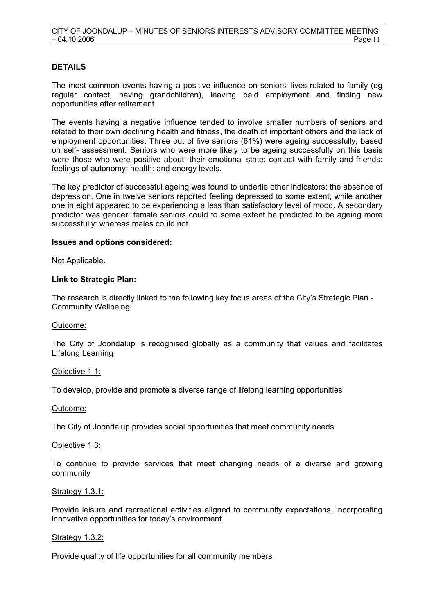## **DETAILS**

The most common events having a positive influence on seniors' lives related to family (eg regular contact, having grandchildren), leaving paid employment and finding new opportunities after retirement.

The events having a negative influence tended to involve smaller numbers of seniors and related to their own declining health and fitness, the death of important others and the lack of employment opportunities. Three out of five seniors (61%) were ageing successfully, based on self- assessment. Seniors who were more likely to be ageing successfully on this basis were those who were positive about: their emotional state: contact with family and friends: feelings of autonomy: health: and energy levels.

The key predictor of successful ageing was found to underlie other indicators: the absence of depression. One in twelve seniors reported feeling depressed to some extent, while another one in eight appeared to be experiencing a less than satisfactory level of mood. A secondary predictor was gender: female seniors could to some extent be predicted to be ageing more successfully: whereas males could not.

## **Issues and options considered:**

Not Applicable.

#### **Link to Strategic Plan:**

The research is directly linked to the following key focus areas of the City's Strategic Plan - Community Wellbeing

#### Outcome:

The City of Joondalup is recognised globally as a community that values and facilitates Lifelong Learning

#### Objective 1.1:

To develop, provide and promote a diverse range of lifelong learning opportunities

#### Outcome:

The City of Joondalup provides social opportunities that meet community needs

#### Objective 1.3:

To continue to provide services that meet changing needs of a diverse and growing community

#### Strategy 1.3.1:

Provide leisure and recreational activities aligned to community expectations, incorporating innovative opportunities for today's environment

## Strategy 1.3.2:

Provide quality of life opportunities for all community members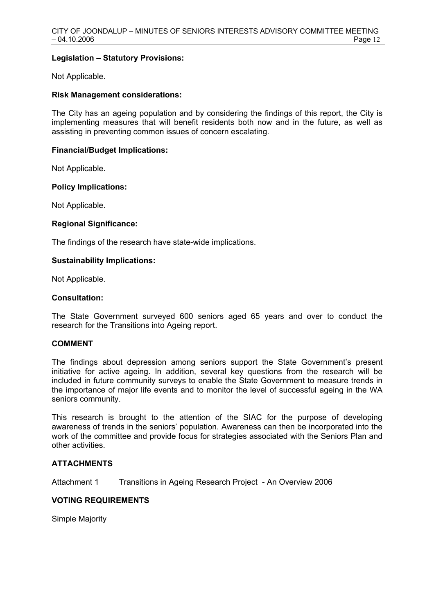## **Legislation – Statutory Provisions:**

Not Applicable.

## **Risk Management considerations:**

The City has an ageing population and by considering the findings of this report, the City is implementing measures that will benefit residents both now and in the future, as well as assisting in preventing common issues of concern escalating.

## **Financial/Budget Implications:**

Not Applicable.

## **Policy Implications:**

Not Applicable.

## **Regional Significance:**

The findings of the research have state-wide implications.

## **Sustainability Implications:**

Not Applicable.

## **Consultation:**

The State Government surveyed 600 seniors aged 65 years and over to conduct the research for the Transitions into Ageing report.

## **COMMENT**

The findings about depression among seniors support the State Government's present initiative for active ageing. In addition, several key questions from the research will be included in future community surveys to enable the State Government to measure trends in the importance of major life events and to monitor the level of successful ageing in the WA seniors community.

This research is brought to the attention of the SIAC for the purpose of developing awareness of trends in the seniors' population. Awareness can then be incorporated into the work of the committee and provide focus for strategies associated with the Seniors Plan and other activities.

## **ATTACHMENTS**

Attachment 1 Transitions in Ageing Research Project - An Overview 2006

## **VOTING REQUIREMENTS**

Simple Majority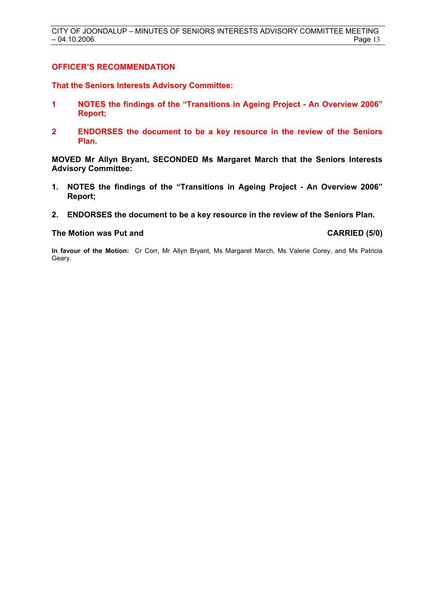## **OFFICER'S RECOMMENDATION**

**That the Seniors Interests Advisory Committee:** 

- **1 NOTES the findings of the "Transitions in Ageing Project An Overview 2006" Report;**
- **2 ENDORSES the document to be a key resource in the review of the Seniors Plan.**

**MOVED Mr Allyn Bryant, SECONDED Ms Margaret March that the Seniors Interests Advisory Committee:** 

- **1. NOTES the findings of the "Transitions in Ageing Project An Overview 2006" Report;**
- **2. ENDORSES the document to be a key resource in the review of the Seniors Plan.**

#### The Motion was Put and **CARRIED** (5/0)

**In favour of the Motion:** Cr Corr, Mr Allyn Bryant, Ms Margaret March, Ms Valerie Corey, and Ms Patricia Geary.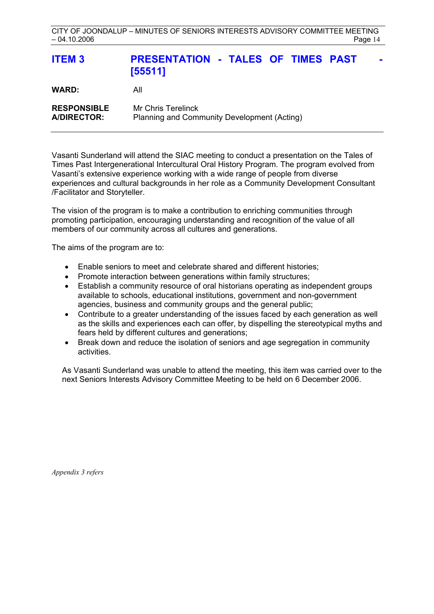| <b>ITEM3</b>                             | <b>PRESENTATION - TALES OF TIMES PAST</b><br>$\sim$<br>[55511]    |
|------------------------------------------|-------------------------------------------------------------------|
| <b>WARD:</b>                             | All                                                               |
| <b>RESPONSIBLE</b><br><b>A/DIRECTOR:</b> | Mr Chris Terelinck<br>Planning and Community Development (Acting) |

Vasanti Sunderland will attend the SIAC meeting to conduct a presentation on the Tales of Times Past Intergenerational Intercultural Oral History Program. The program evolved from Vasanti's extensive experience working with a wide range of people from diverse experiences and cultural backgrounds in her role as a Community Development Consultant /Facilitator and Storyteller.

The vision of the program is to make a contribution to enriching communities through promoting participation, encouraging understanding and recognition of the value of all members of our community across all cultures and generations.

The aims of the program are to:

- Enable seniors to meet and celebrate shared and different histories;
- Promote interaction between generations within family structures;
- Establish a community resource of oral historians operating as independent groups available to schools, educational institutions, government and non-government agencies, business and community groups and the general public;
- Contribute to a greater understanding of the issues faced by each generation as well as the skills and experiences each can offer, by dispelling the stereotypical myths and fears held by different cultures and generations;
- Break down and reduce the isolation of seniors and age segregation in community activities.

As Vasanti Sunderland was unable to attend the meeting, this item was carried over to the next Seniors Interests Advisory Committee Meeting to be held on 6 December 2006.

*Appendix 3 refers*